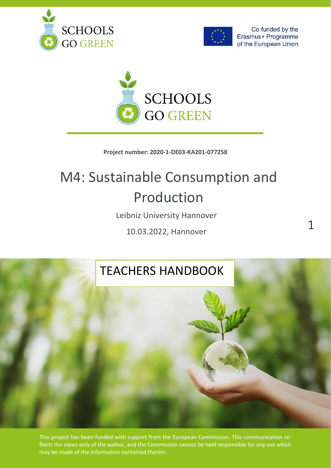





### **Project number: 2020-1-DE03-KA201-077258**

# M4: Sustainable Consumption and Production

Leibniz University Hannover

10.03.2022, Hannover

# TEACHERS HANDBOOK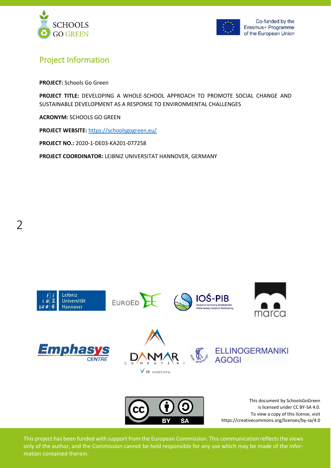



# <span id="page-1-0"></span>Project Information

**PROJECT:** Schools Go Green

**PROJECT TITLE:** DEVELOPING A WHOLE-SCHOOL APPROACH TO PROMOTE SOCIAL CHANGE AND SUSTAINABLE DEVELOPMENT AS A RESPONSE TO ENVIRONMENTAL CHALLENGES

**ACRONYM:** SCHOOLS GO GREEN

**PROJECT WEBSITE:** <https://schoolsgogreen.eu/>

**PROJECT NO.:** 2020-1-DE03-KA201-077258

**PROJECT COORDINATOR:** LEIBNIZ UNIVERSITAT HANNOVER, GERMANY

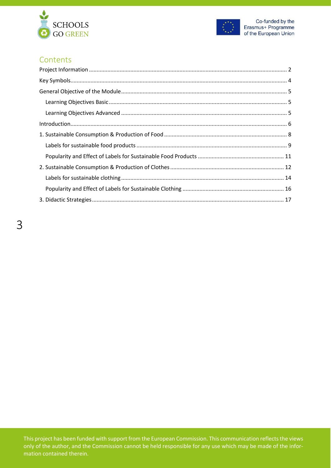



# **Contents**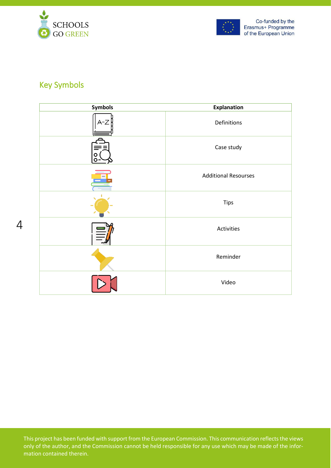



# <span id="page-3-0"></span>Key Symbols

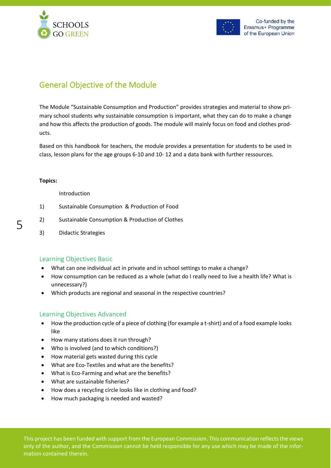



# <span id="page-4-0"></span>General Objective of the Module

The Module "Sustainable Consumption and Production" provides strategies and material to show primary school students why sustainable consumption is important, what they can do to make a change and how this affects the production of goods. The module will mainly focus on food and clothes products.

Based on this handbook for teachers, the module provides a presentation for students to be used in class, lesson plans for the age groups 6-10 and 10- 12 and a data bank with further ressources.

#### **Topics:**

Introduction

- 1) Sustainable Consumption & Production of Food
- 2) Sustainable Consumption & Production of Clothes
- 3) Didactic Strategies

## <span id="page-4-1"></span>Learning Objectives Basic

- What can one individual act in private and in school settings to make a change?
- How consumption can be reduced as a whole (what do I really need to live a health life? What is unnecessary?)
- Which products are regional and seasonal in the respective countries?

## <span id="page-4-2"></span>Learning Objectives Advanced

- How the production cycle of a piece of clothing (for example a t-shirt) and of a food example looks like
- How many stations does it run through?
- Who is involved (and to which conditions?)
- How material gets wasted during this cycle
- What are Eco-Textiles and what are the benefits?
- What is Eco-Farming and what are the benefits?
- What are sustainable fisheries?
- How does a recycling circle looks like in clothing and food?
- How much packaging is needed and wasted?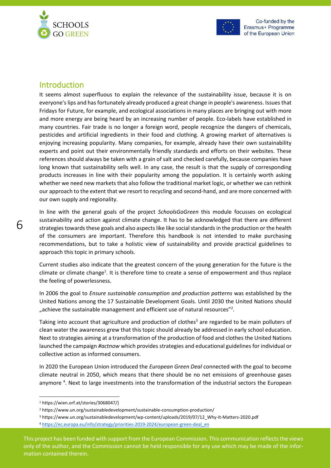



## <span id="page-5-0"></span>Introduction

6

It seems almost superfluous to explain the relevance of the sustainability issue, because it is on everyone's lips and has fortunately already produced a great change in people's awareness. Issues that Fridays for Future, for example, and ecological associations in many places are bringing out with more and more energy are being heard by an increasing number of people. Eco-labels have established in many countries. Fair trade is no longer a foreign word, people recognize the dangers of chemicals, pesticides and artificial ingredients in their food and clothing. A growing market of alternatives is enjoying increasing popularity. Many companies, for example, already have their own sustainability experts and point out their environmentally friendly standards and efforts on their websites. These references should always be taken with a grain of salt and checked carefully, because companies have long known that sustainability sells well. In any case, the result is that the supply of corresponding products increases in line with their popularity among the population. It is certainly worth asking whether we need new markets that also follow the traditional market logic, or whether we can rethink our approach to the extent that we resort to recycling and second-hand, and are more concerned with our own supply and regionality.

In line with the general goals of the project *SchoolsGoGreen* this module focusses on ecological sustainability and action against climate change. It has to be acknowledged that there are different strategies towards these goals and also aspects like like social standards in the production or the health of the consumers are important. Therefore this handbook is not intended to make purchasing recommendations, but to take a holistic view of sustainability and provide practical guidelines to approach this topic in primary schools.

Current studies also indicate that the greatest concern of the young generation for the future is the climate or climate change<sup>1</sup>. It is therefore time to create a sense of empowerment and thus replace the feeling of powerlessness.

In 2006 the goal to *Ensure sustainable consumption and production patterns* was established by the United Nations among the 17 Sustainable Development Goals. Until 2030 the United Nations should "achieve the sustainable management and efficient use of natural resources"<sup>2</sup>.

Taking into account that agriculture and production of clothes<sup>3</sup> are regarded to be main polluters of clean water the awareness grew that this topic should already be addressed in early school education. Next to strategies aiming at a transformation of the production of food and clothes the United Nations launched the campaign *#actnow* which provides strategies and educational guidelines for individual or collective action as informed consumers.

In 2020 the European Union introduced the *European Green Deal* connected with the goal to become climate neutral in 2050, which means that there should be no net emissions of greenhouse gases anymore<sup>4</sup>. Next to large investments into the transformation of the industrial sectors the European

<sup>1</sup> https://wien.orf.at/stories/3068047/)

<sup>2</sup> https://www.un.org/sustainabledevelopment/sustainable-consumption-production/

<sup>3</sup> https://www.un.org/sustainabledevelopment/wp-content/uploads/2019/07/12\_Why-It-Matters-2020.pdf <sup>4</sup> [https://ec.europa.eu/info/strategy/priorities-2019-2024/european-green-deal\\_en](https://ec.europa.eu/info/strategy/priorities-2019-2024/european-green-deal_en)

This project has been funded with support from the European Commission. This communication reflects the views only of the author, and the Commission cannot be held responsible for any use which may be made of the information contained therein.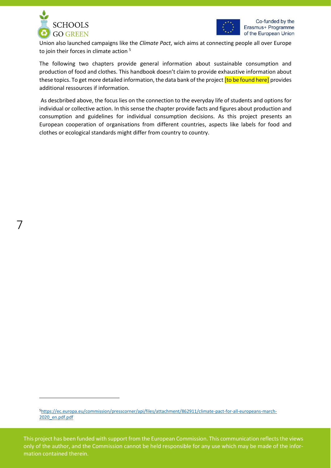

7



Union also launched campaigns like the *Climate Pact*, wich aims at connecting people all over Europe to join their forces in climate action  $5$ 

The following two chapters provide general information about sustainable consumption and production of food and clothes. This handbook doesn't claim to provide exhaustive information about these topics. To get more detailed information, the data bank of the project **[to be found here]** provides additional ressources if information.

As descbribed above, the focus lies on the connection to the everyday life of students and options for individual or collective action. In this sense the chapter provide facts and figures about production and consumption and guidelines for individual consumption decisions. As this project presents an European cooperation of organisations from different countries, aspects like labels for food and clothes or ecological standards might differ from country to country.

<sup>5</sup>[https://ec.europa.eu/commission/presscorner/api/files/attachment/862911/climate-pact-for-all-europeans-march-](https://ec.europa.eu/commission/presscorner/api/files/attachment/862911/climate-pact-for-all-europeans-march-2020_en.pdf.pdf)[2020\\_en.pdf.pdf](https://ec.europa.eu/commission/presscorner/api/files/attachment/862911/climate-pact-for-all-europeans-march-2020_en.pdf.pdf)

This project has been funded with support from the European Commission. This communication reflects the views only of the author, and the Commission cannot be held responsible for any use which may be made of the information contained therein.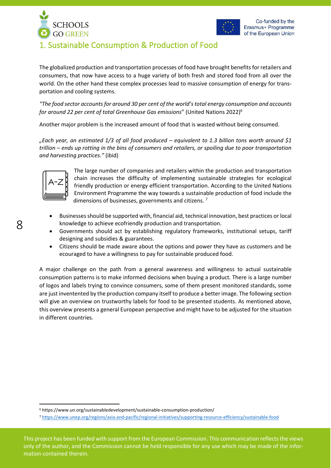



# <span id="page-7-0"></span>1. Sustainable Consumption & Production of Food

The globalized production and transportation processes of food have brought benefits for retailers and consumers, that now have access to a huge variety of both fresh and stored food from all over the world. On the other hand these complex processes lead to massive consumption of energy for transportation and cooling systems.

*"The food sector accounts for around 30 per cent of the world's total energy consumption and accounts for around 22 per cent of total Greenhouse Gas emissions*" (United Nations 2022)<sup>6</sup>

Another major problem is the increased amount of food that is wasted without being consumed.

*"Each year, an estimated 1/3 of all food produced – equivalent to 1.3 billion tons worth around \$1 trillion – ends up rotting in the bins of consumers and retailers, or spoiling due to poor transportation and harvesting practices."* (ibid)



The large number of companies and retailers within the production and transportation chain increases the difficulty of implementing sustainable strategies for ecological friendly production or energy efficient transportation. According to the United Nations Environment Programme the way towards a sustainable production of food include the dimensions of businesses, governments and citizens.<sup>7</sup>

- Businesses should be supported with, financial aid, technical innovation, best practices or local knowledge to achieve ecofriendly production and transportation.
- Governments should act by establishing regulatory frameworks, institutional setups, tariff designing and subsidies & guarantees.
- Citizens should be made aware about the options and power they have as customers and be ecouraged to have a willingness to pay for sustainable produced food.

A major challenge on the path from a general awareness and willingness to actual sustainable consumption patterns is to make informed decisions when buying a product. There is a large number of logos and labels trying to convince consumers, some of them present monitored standards, some are just inventented by the production company itself to produce a better image. The following section will give an overview on trustworthy labels for food to be presented students. As mentioned above, this overview presents a general European perspective and might have to be adjusted for the situation in different countries.

<sup>6</sup> https://www.un.org/sustainabledevelopment/sustainable-consumption-production/

<sup>7</sup> <https://www.unep.org/regions/asia-and-pacific/regional-initiatives/supporting-resource-efficiency/sustainable-food>

This project has been funded with support from the European Commission. This communication reflects the views only of the author, and the Commission cannot be held responsible for any use which may be made of the information contained therein.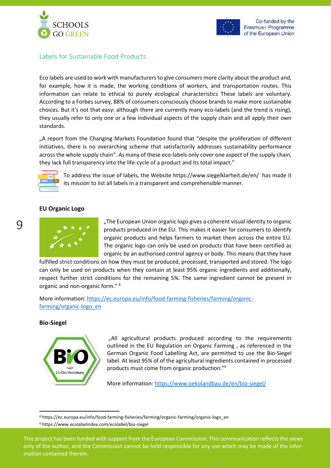



## <span id="page-8-0"></span>Labels for Sustainable Food Products

Eco labels are used to work with manufacturers to give consumers more clarity about the product and, for example, how it is made, the working conditions of workers, and transportation routes. This information can relate to ethical to purely ecological characteristics These labels are voluntary. According to a Forbes survey, 88% of consumers consciously choose brands to make more sustainable choices. But it's not that easy: although there are currently many eco-labels (and the trend is rising), they usually refer to only one or a few individual aspects of the supply chain and all apply their own standards.

"A report from the Changing Markets Foundation found that "despite the proliferation of different initiatives, there is no overarching scheme that satisfactorily addresses sustainability performance across the whole supply chain". As many of these eco-labels only cover one aspect of the supply chain, they lack full transparency into the life-cycle of a product and its total impact."



To address the issue of labels, the Website https://www.siegelklarheit.de/en/ has made it its mission to list all labels in a transparent and comprehensible manner.

#### **EU Organic Logo**



"The European Union organic logo gives a coherent visual identity to organic products produced in the EU. This makes it easier for consumers to identify organic products and helps farmers to market them across the entire EU. The organic logo can only be used on products that have been certified as organic by an authorised control agency or body. This means that they have

fulfilled strict conditions on how they must be produced, processed, transported and stored. The logo can only be used on products when they contain at least 95% organic ingredients and additionally, respect further strict conditions for the remaining 5%. The same ingredient cannot be present in organic and non-organic form." <sup>8</sup>

More information: [https://ec.europa.eu/info/food-farming-fisheries/farming/organic](https://ec.europa.eu/info/food-farming-fisheries/farming/organic-farming/organic-logo_en)[farming/organic-logo\\_en](https://ec.europa.eu/info/food-farming-fisheries/farming/organic-farming/organic-logo_en)

#### **Bio-Siegel**



"All agricultural products produced according to the requirements outlined in the EU Regulation on Organic Farming , as referenced in the German Organic Food Labelling Act, are permitted to use the Bio-Siegel label. At least 95% of of the agricultural ingredients contained in processed products must come from organic production."<sup>9</sup>

More information:<https://www.oekolandbau.de/en/bio-siegel/>

<sup>8</sup> https://ec.europa.eu/info/food-farming-fisheries/farming/organic-farming/organic-logo\_en

<sup>9</sup> https://www.ecolabelindex.com/ecolabel/bio-siegel

This project has been funded with support from the European Commission. This communication reflects the views only of the author, and the Commission cannot be held responsible for any use which may be made of the information contained therein.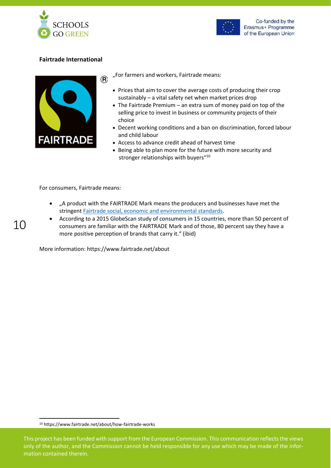



### **Fairtrade International**



"For farmers and workers, Fairtrade means:

- Prices that aim to cover the average costs of producing their crop sustainably – a vital safety net when market prices drop
- The Fairtrade Premium an extra sum of money paid on top of the selling price to invest in business or community projects of their choice
- Decent working conditions and a ban on discrimination, forced labour and child labour
- Access to advance credit ahead of harvest time
- Being able to plan more for the future with more security and stronger relationships with buyers"<sup>10</sup>

For consumers, Fairtrade means:

10

- "A product with the FAIRTRADE Mark means the producers and businesses have met the stringen[t Fairtrade social, economic and environmental standards.](https://www.fairtrade.net/standard/about)
- According to a 2015 GlobeScan study of consumers in 15 countries, more than 50 percent of consumers are familiar with the FAIRTRADE Mark and of those, 80 percent say they have a more positive perception of brands that carry it." (ibid)

More information: https://www.fairtrade.net/about

<sup>10</sup> https://www.fairtrade.net/about/how-fairtrade-works

This project has been funded with support from the European Commission. This communication reflects the views only of the author, and the Commission cannot be held responsible for any use which may be made of the information contained therein.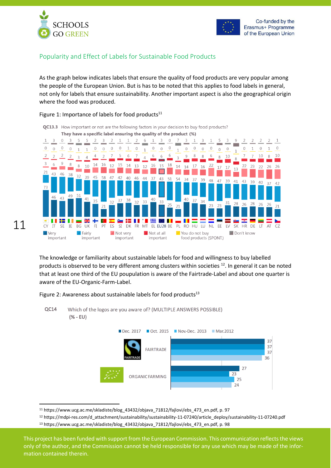

11



## <span id="page-10-0"></span>Popularity and Effect of Labels for Sustainable Food Products

As the graph below indicates labels that ensure the quality of food products are very popular among the people of the European Union. But is has to be noted that this applies to food labels in general, not only for labels that ensure sustainability. Another important aspect is also the geographical origin where the food was produced.

#### Figure 1: Importance of labels for food products $11$



QC13.3 How important or not are the following factors in your decision to buy food products? They have a specific label ensuring the quality of the product (%)

The knowledge or familiarity about sustainable labels for food and willingness to buy labelled products is observed to be very different among clusters within societies <sup>12</sup>. In general it can be noted that at least one third of the EU poupulation is aware of the Fairtrade-Label and about one quarter is aware of the EU-Organic-Farm-Label.

Figure 2: Awareness about sustainable labels for food products $^{13}$ 



<sup>&</sup>lt;sup>11</sup> https://www.ucg.ac.me/skladiste/blog\_43432/objava\_71812/fajlovi/ebs\_473\_en.pdf, p. 97

<sup>12</sup> https://mdpi-res.com/d\_attachment/sustainability/sustainability-11-07240/article\_deploy/sustainability-11-07240.pdf <sup>13</sup> https://www.ucg.ac.me/skladiste/blog\_43432/objava\_71812/fajlovi/ebs\_473\_en.pdf, p. 98

This project has been funded with support from the European Commission. This communication reflects the views only of the author, and the Commission cannot be held responsible for any use which may be made of the information contained therein.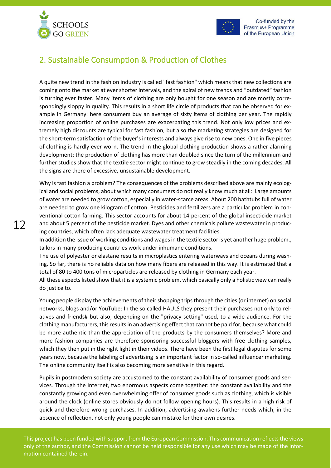



Co-funded by the Erasmus+ Programme of the European Union

## <span id="page-11-0"></span>2. Sustainable Consumption & Production of Clothes

A quite new trend in the fashion industry is called "fast fashion" which means that new collections are coming onto the market at ever shorter intervals, and the spiral of new trends and "outdated" fashion is turning ever faster. Many items of clothing are only bought for one season and are mostly correspondingly sloppy in quality. This results in a short life circle of products that can be observed for example in Germany: here consumers buy an average of sixty items of clothing per year. The rapidly increasing proportion of online purchases are exacerbating this trend. Not only low prices and extremely high discounts are typical for fast fashion, but also the marketing strategies are designed for the short-term satisfaction of the buyer's interests and always give rise to new ones. One in five pieces of clothing is hardly ever worn. The trend in the global clothing production shows a rather alarming development: the production of clothing has more than doubled since the turn of the millennium and further studies show that the textile sector might continue to grow steadily in the coming decades. All the signs are there of excessive, unsustainable development.

Why is fast fashion a problem? The consequences of the problems described above are mainly ecological and social problems, about which many consumers do not really know much at all: Large amounts of water are needed to grow cotton, especially in water-scarce areas. About 200 bathtubs full of water are needed to grow one kilogram of cotton. Pesticides and fertilizers are a particular problem in conventional cotton farming. This sector accounts for about 14 percent of the global insecticide market and about 5 percent of the pesticide market. Dyes and other chemicals pollute wastewater in producing countries, which often lack adequate wastewater treatment facilities.

In addition the issue of working conditions and wages in the textile sector is yet another huge problem., tailors in many producing countries work under inhumane conditions.

The use of polyester or elastane results in microplastics entering waterways and oceans during washing. So far, there is no reliable data on how many fibers are released in this way. It is estimated that a total of 80 to 400 tons of microparticles are released by clothing in Germany each year.

All these aspects listed show that it is a systemic problem, which basically only a holistic view can really do justice to.

Young people display the achievements of their shopping trips through the cities (or internet) on social networks, blogs and/or YouTube: In the so called HAULS they present their purchases not only to relatives and friends# but also, depending on the "privacy setting" used, to a wide audience. For the clothing manufacturers, this results in an advertising effect that cannot be paid for, because what could be more authentic than the appreciation of the products by the consumers themselves? More and more fashion companies are therefore sponsoring successful bloggers with free clothing samples, which they then put in the right light in their videos. There have been the first legal disputes for some years now, because the labeling of advertising is an important factor in so-called influencer marketing. The online community itself is also becoming more sensitive in this regard.

Pupils in postmodern society are accustomed to the constant availability of consumer goods and services. Through the Internet, two enormous aspects come together: the constant availability and the constantly growing and even overwhelming offer of consumer goods such as clothing, which is visible around the clock (online stores obviously do not follow opening hours). This results in a high risk of quick and therefore wrong purchases. In addition, advertising awakens further needs which, in the absence of reflection, not only young people can mistake for their own desires.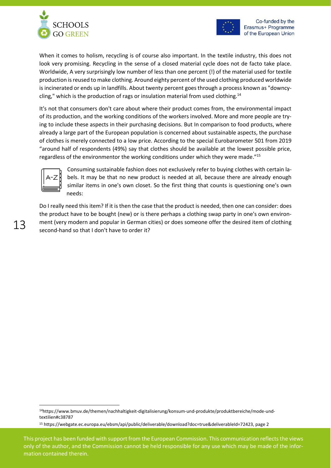



When it comes to holism, recycling is of course also important. In the textile industry, this does not look very promising. Recycling in the sense of a closed material cycle does not de facto take place. Worldwide, A very surprisingly low number of less than one percent (!) of the material used for textile production is reused to make clothing. Around eighty percent of the used clothing produced worldwide is incinerated or ends up in landfills. About twenty percent goes through a process known as "downcycling," which is the production of rags or insulation material from used clothing.<sup>14</sup>

It's not that consumers don't care about where their product comes from, the environmental impact of its production, and the working conditions of the workers involved. More and more people are trying to include these aspects in their purchasing decisions. But In comparison to food products, where already a large part of the European population is concerned about sustainable aspects, the purchase of clothes is merely connected to a low price. According to the special Eurobarometer 501 from 2019 "around half of respondents (49%) say that clothes should be available at the lowest possible price, regardless of the environmentor the working conditions under which they were made."<sup>15</sup>



Consuming sustainable fashion does not exclusively refer to buying clothes with certain labels. It may be that no new product is needed at all, because there are already enough similar items in one's own closet. So the first thing that counts is questioning one's own needs:

Do I really need this item? If it is then the case that the product is needed, then one can consider: does the product have to be bought (new) or is there perhaps a clothing swap party in one's own environment (very modern and popular in German cities) or does someone offer the desired item of clothing second-hand so that I don't have to order it?

<sup>14</sup>https://www.bmuv.de/themen/nachhaltigkeit-digitalisierung/konsum-und-produkte/produktbereiche/mode-undtextilien#c38787

<sup>15</sup> https://webgate.ec.europa.eu/ebsm/api/public/deliverable/download?doc=true&deliverableId=72423, page 2

This project has been funded with support from the European Commission. This communication reflects the views only of the author, and the Commission cannot be held responsible for any use which may be made of the information contained therein.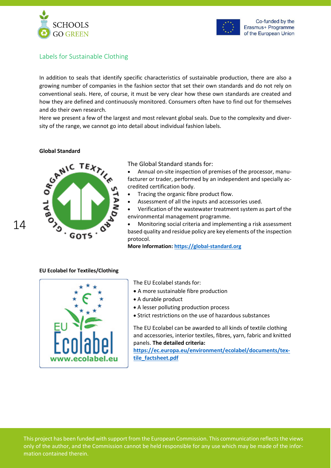



## <span id="page-13-0"></span>Labels for Sustainable Clothing

In addition to seals that identify specific characteristics of sustainable production, there are also a growing number of companies in the fashion sector that set their own standards and do not rely on conventional seals. Here, of course, it must be very clear how these own standards are created and how they are defined and continuously monitored. Consumers often have to find out for themselves and do their own research.

Here we present a few of the largest and most relevant global seals. Due to the complexity and diversity of the range, we cannot go into detail about individual fashion labels.

#### **Global Standard**



The Global Standard stands for:

• Annual on-site inspection of premises of the processor, manufacturer or trader, performed by an independent and specially accredited certification body.

- Tracing the organic fibre product flow.
- Assessment of all the inputs and accessories used.
- Verification of the wastewater treatment system as part of the environmental management programme.

• Monitoring social criteria and implementing a risk assessment based quality and residue policy are key elements of the inspection protocol.

**More Information[: https://global-standard.org](https://global-standard.org/)**

#### **EU Ecolabel for Textiles/Clothing**



The EU Ecolabel stands for:

- A more sustainable fibre production
- A durable product
- A lesser polluting production process
- Strict restrictions on the use of hazardous substances

The EU Ecolabel can be awarded to all kinds of textile clothing and accessories, interior textiles, fibres, yarn, fabric and knitted panels. **The detailed criteria:**

**[https://ec.europa.eu/environment/ecolabel/documents/tex](https://ec.europa.eu/environment/ecolabel/documents/textile_factsheet.pdf)[tile\\_factsheet.pdf](https://ec.europa.eu/environment/ecolabel/documents/textile_factsheet.pdf)**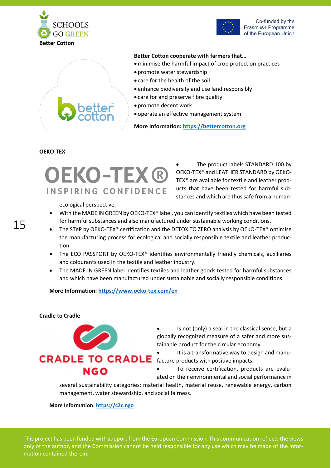





#### **Better Cotton cooperate with farmers that…**

- •minimise the harmful impact of crop protection practices
- promote water stewardship
- care for the health of the soil
- enhance biodiversity and use land responsibly
- care for and preserve fibre quality
- promote decent work
- operate an effective management system

**More Information: [https://bettercotton.org](https://bettercotton.org/)**

#### **OEKO-TEX**

# **OEKO-TEX®** INSPIRING CONFIDENCE

ecological perspective.

The product labels STANDARD 100 by OEKO-TEX® and LEATHER STANDARD by OEKO-TEX® are available for textile and leather products that have been tested for harmful substances and which are thus safe from a human-

- With the MADE IN GREEN by OEKO-TEX® label, you can identify textiles which have been tested for harmful substances and also manufactured under sustainable working conditions.
- The STeP by OEKO-TEX® certification and the DETOX TO ZERO analysis by OEKO-TEX® optimise the manufacturing process for ecological and socially responsible textile and leather production.
- The ECO PASSPORT by OEKO-TEX® identifies environmentally friendly chemicals, auxiliaries and colourants used in the textile and leather industry.
- The MADE IN GREEN label identifies textiles and leather goods tested for harmful substances and which have been manufactured under sustainable and socially responsible conditions.

#### **More Information[: https://www.oeko-tex.com/en](https://www.oeko-tex.com/en)**

#### **Cradle to Cradle**



• Is not (only) a seal in the classical sense, but a globally recognized measure of a safer and more sustainable product for the circular economy

• It is a transformative way to design and manu-

• To receive certification, products are evaluated on their environmental and social performance in

several sustainability categories: material health, material reuse, renewable energy, carbon management, water stewardship, and social fairness.

#### **More Information[: https://c2c.ngo](https://c2c.ngo/)**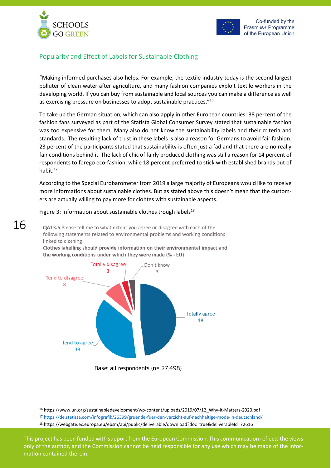

16



## <span id="page-15-0"></span>Popularity and Effect of Labels for Sustainable Clothing

"Making informed purchases also helps. For example, the textile industry today is the second largest polluter of clean water after agriculture, and many fashion companies exploit textile workers in the developing world. If you can buy from sustainable and local sources you can make a difference as well as exercising pressure on businesses to adopt sustainable practices."<sup>16</sup>

To take up the German situation, which can also apply in other European countries: 38 percent of the fashion fans surveyed as part of the Statista Global Consumer Survey stated that sustainable fashion was too expensive for them. Many also do not know the sustainability labels and their criteria and standards. The resulting lack of trust in these labels is also a reason for Germans to avoid fair fashion. 23 percent of the participants stated that sustainability is often just a fad and that there are no really fair conditions behind it. The lack of chic of fairly produced clothing was still a reason for 14 percent of respondents to forego eco-fashion, while 18 percent preferred to stick with established brands out of habit.<sup>17</sup>

According to the Special Eurobarometer from 2019 a large majority of Europeans would like to receive more informations about sustainable clothes. But as stated above this doesn't mean that the customers are actually willing to pay more for clohtes with sustainable aspects.

#### Figure 3: Information about sustainable clothes trough labels $^{18}$

QA13.5 Please tell me to what extent you agree or disagree with each of the following statements related to environmental problems and working conditions linked to clothing.

Clothes labelling should provide information on their environmental impact and the working conditions under which they were made (% - EU)



Base: all respondents (n= 27,498)

<sup>16</sup> https://www.un.org/sustainabledevelopment/wp-content/uploads/2019/07/12\_Why-It-Matters-2020.pdf

<sup>17</sup> <https://de.statista.com/infografik/26399/gruende-fuer-den-verzicht-auf-nachhaltige-mode-in-deutschland/>

<sup>18</sup> https://webgate.ec.europa.eu/ebsm/api/public/deliverable/download?doc=true&deliverableId=72616

This project has been funded with support from the European Commission. This communication reflects the views only of the author, and the Commission cannot be held responsible for any use which may be made of the information contained therein.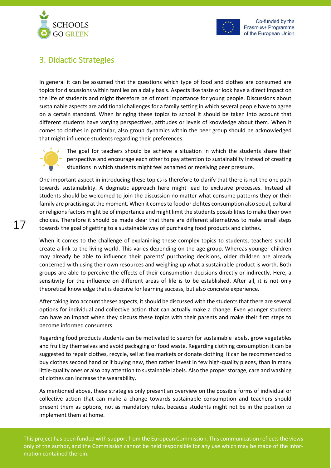



# <span id="page-16-0"></span>3. Didactic Strategies

In general it can be assumed that the questions which type of food and clothes are consumed are topics for discussions within families on a daily basis. Aspects like taste or look have a direct impact on the life of students and might therefore be of most importance for young people. Discussions about sustainable aspects are additional challenges for a family setting in which several people have to agree on a certain standard. When bringing these topics to school it should be taken into account that different students have varying perspectives, attitudes or levels of knowledge about them. When it comes to clothes in particular, also group dynamics within the peer group should be acknowledged that might influence students regarding their preferences.



The goal for teachers should be achieve a situation in which the students share their perspective and encourage each other to pay attention to sustainablity instead of creating situations in which students might feel ashamed or receiving peer pressure.

One important aspect in introducing these topics is therefore to clarify that there is not the one path towards sustainability. A dogmatic approach here might lead to exclusive processes. Instead all students should be welcomed to join the discussion no matter what consume patterns they or their family are practising at the moment. When it comes to food or clohtes consumption also social, cultural or religions factors might be of importance and might limit the students possibilities to make their own choices. Therefore it should be made clear that there are different alternatives to make small steps towards the goal of getting to a sustainable way of purchasing food products and clothes.

When it comes to the challenge of explanining these complex topics to students, teachers should create a link to the living world. This varies depending on the age group. Whereas younger children may already be able to influence their parents' purchasing decisions, older children are already concerned with using their own resources and weighing up what a sustainable product is worth. Both groups are able to perceive the effects of their consumption decisions directly or indirectly. Here, a sensitivity for the influence on different areas of life is to be established. After all, it is not only theoretical knowledge that is decisive for learning success, but also concrete experience.

After taking into account theses aspects, it should be discussed with the students that there are several options for individual and collective action that can actually make a change. Even younger students can have an impact when they discuss these topics with their parents and make their first steps to become informed consumers.

Regarding food products students can be motivated to search for sustainable labels, grow vegetables and fruit by themselves and avoid packaging or food waste. Regarding clothing consumption it can be suggested to repair clothes, recycle, sell at flea markets or donate clothing. It can be recommended to buy clothes second hand or if buying new, then rather invest in few high-quality pieces, than in many little-quality ones or also pay attention to sustainable labels. Also the proper storage, care and washing of clothes can increase the wearability.

As mentioned above, these strategies only present an overview on the possible forms of individual or collective action that can make a change towards sustainable consumption and teachers should present them as options, not as mandatory rules, because students might not be in the position to implement them at home.